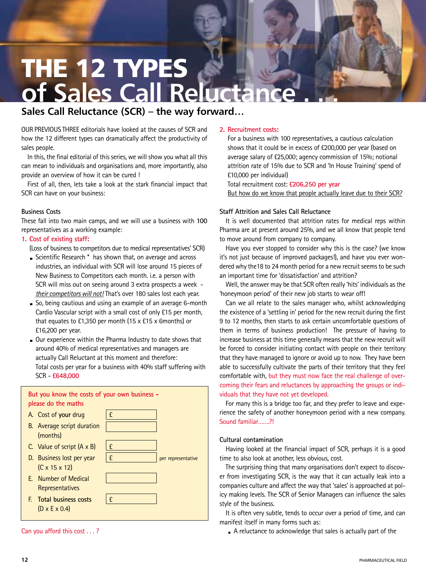# **of Sales Call Reluctan** THE 12 TYPES

# **Sales Call Reluctance (SCR) – the way forward…**

OUR PREVIOUS THREE editorials have looked at the causes of SCR and how the 12 different types can dramatically affect the productivity of sales people.

In this, the final editorial of this series, we will show you what all this can mean to individuals and organisations and, more importantly, also provide an overview of how it can be cured !

First of all, then, lets take a look at the stark financial impact that SCR can have on your business:

## **Business Costs**

These fall into two main camps, and we will use a business with **100** representatives as a working example:

### **1. Cost of existing staff:**

(Loss of business to competitors due to medical representatives' SCR)

- Scientific Research \* has shown that, on average and across industries, an individual with SCR will lose around 15 pieces of New Business to Competitors each month. i.e. a person with SCR will miss out on seeing around 3 extra prospects a week *their competitors will not!* That's over 180 sales lost each year.
- So, being cautious and using an example of an average 6-month Cardio Vascular script with a small cost of only £15 per month, that equates to £1,350 per month (15 x £15 x 6months) or £16,200 per year.
- Our experience within the Pharma Industry to date shows that around 40% of medical representatives and managers are actually Call Reluctant at this moment and therefore: Total costs per year for a business with 40% staff suffering with SCR - **£648,000**

| But you know the costs of your own business –<br>please do the maths |   |                    |
|----------------------------------------------------------------------|---|--------------------|
| A. Cost of your drug                                                 | f |                    |
| <b>B.</b> Average script duration<br>(months)                        |   |                    |
| C. Value of script $(A \times B)$                                    | f |                    |
| D. Business lost per year<br>$(C \times 15 \times 12)$               | f | per representative |
| <b>F.</b> Number of Medical<br>Representatives                       |   |                    |
| <b>F.</b> Total business costs<br>$(D \times E \times 0.4)$          | t |                    |

Can you afford this cost . . . ?

### **2. Recruitment costs:**

For a business with 100 representatives, a cautious calculation shows that it could be in excess of £200,000 per year (based on average salary of £25,000; agency commission of 15%; notional attrition rate of 15% due to SCR and 'In House Training' spend of £10,000 per individual)

Total recruitment cost: **£206,250 per year** But how do we know that people actually leave due to their SCR?

#### **Staff Attrition and Sales Call Reluctance**

It is well documented that attrition rates for medical reps within Pharma are at present around 25%, and we all know that people tend to move around from company to company.

Have you ever stopped to consider why this is the case? (we know it's not just because of improved packages!), and have you ever wondered why the18 to 24 month period for a new recruit seems to be such an important time for 'dissatisfaction' and attrition?

Well, the answer may be that SCR often really 'hits' individuals as the 'honeymoon period' of their new job starts to wear off!

Can we all relate to the sales manager who, whilst acknowledging the existence of a 'settling in' period for the new recruit during the first 9 to 12 months, then starts to ask certain uncomfortable questions of them in terms of business production! The pressure of having to increase business at this time generally means that the new recruit will be forced to consider initiating contact with people on their territory that they have managed to ignore or avoid up to now. They have been able to successfully cultivate the parts of their territory that they feel comfortable with, but they must now face the real challenge of overcoming their fears and reluctances by approaching the groups or individuals that they have not yet developed.

For many this is a bridge too far, and they prefer to leave and experience the safety of another honeymoon period with a new company. Sound familiar…….?!

### **Cultural contamination**

Having looked at the financial impact of SCR, perhaps it is a good time to also look at another, less obvious, cost.

The surprising thing that many organisations don't expect to discover from investigating SCR, is the way that it can actually leak into a companies culture and affect the way that 'sales' is approached at policy making levels. The SCR of Senior Managers can influence the sales style of the business.

It is often very subtle, tends to occur over a period of time, and can manifest itself in many forms such as:

A reluctance to acknowledge that sales is actually part of the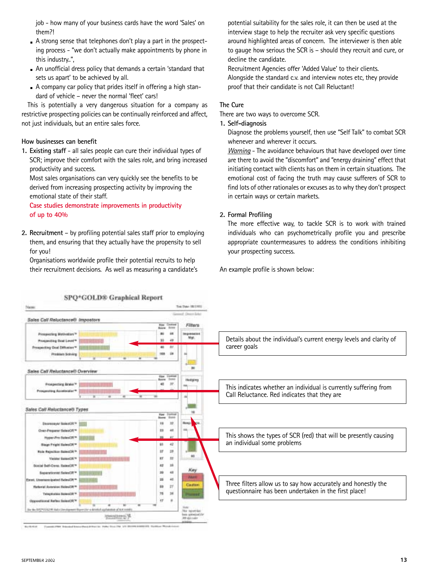job - how many of your business cards have the word 'Sales' on them?!

- A strong sense that telephones don't play a part in the prospecting process - "we don't actually make appointments by phone in this industry..",
- An unofficial dress policy that demands a certain 'standard that sets us apart' to be achieved by all.
- A company car policy that prides itself in offering a high standard of vehicle – never the normal 'fleet' cars!

This is potentially a very dangerous situation for a company as restrictive prospecting policies can be continually reinforced and affect, not just individuals, but an entire sales force.

#### **How businesses can benefit**

**1. Existing staff** - all sales people can cure their individual types of SCR; improve their comfort with the sales role, and bring increased productivity and success.

Most sales organisations can very quickly see the benefits to be derived from increasing prospecting activity by improving the emotional state of their staff.

**Case studies demonstrate improvements in productivity of up to 40%**

**2. Recruitment** – by profiling potential sales staff prior to employing them, and ensuring that they actually have the propensity to sell for you!

Organisations worldwide profile their potential recruits to help their recruitment decisions. As well as measuring a candidate's

potential suitability for the sales role, it can then be used at the interview stage to help the recruiter ask very specific questions around highlighted areas of concern. The interviewer is then able to gauge how serious the SCR is – should they recruit and cure, or decline the candidate.

Recruitment Agencies offer 'Added Value' to their clients. Alongside the standard c.v. and interview notes etc, they provide proof that their candidate is not Call Reluctant!

### **The Cure**

There are two ways to overcome SCR.

**1. Self-diagnosis**

Diagnose the problems yourself, then use "Self Talk" to combat SCR whenever and wherever it occurs.

*Warning* - The avoidance behaviours that have developed over time are there to avoid the "discomfort" and "energy draining" effect that initiating contact with clients has on them in certain situations. The emotional cost of facing the truth may cause sufferers of SCR to find lots of other rationales or excuses as to why they don't prospect in certain ways or certain markets.

#### **2. Formal Profiling**

The more effective way, to tackle SCR is to work with trained individuals who can psychometrically profile you and prescribe appropriate countermeasures to address the conditions inhibiting your prospecting success.

An example profile is shown below: